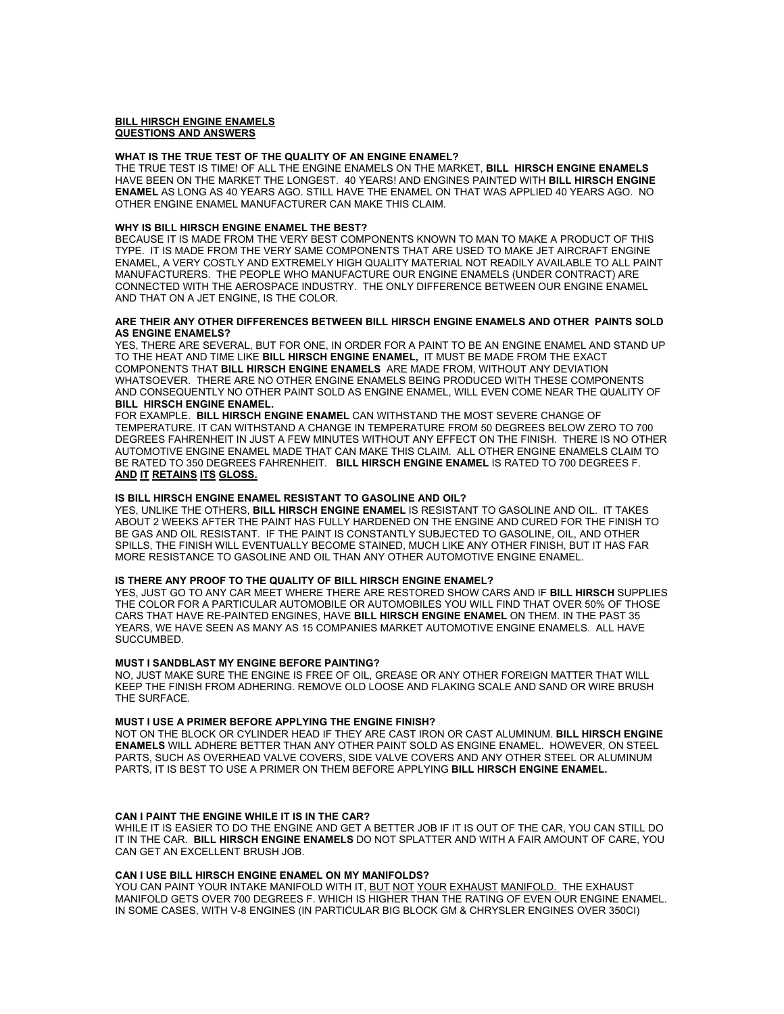# **BILL HIRSCH ENGINE ENAMELS QUESTIONS AND ANSWERS**

#### **WHAT IS THE TRUE TEST OF THE QUALITY OF AN ENGINE ENAMEL?**

THE TRUE TEST IS TIME! OF ALL THE ENGINE ENAMELS ON THE MARKET, **BILL HIRSCH ENGINE ENAMELS**  HAVE BEEN ON THE MARKET THE LONGEST. 40 YEARS! AND ENGINES PAINTED WITH **BILL HIRSCH ENGINE ENAMEL** AS LONG AS 40 YEARS AGO. STILL HAVE THE ENAMEL ON THAT WAS APPLIED 40 YEARS AGO. NO OTHER ENGINE ENAMEL MANUFACTURER CAN MAKE THIS CLAIM.

### **WHY IS BILL HIRSCH ENGINE ENAMEL THE BEST?**

BECAUSE IT IS MADE FROM THE VERY BEST COMPONENTS KNOWN TO MAN TO MAKE A PRODUCT OF THIS TYPE. IT IS MADE FROM THE VERY SAME COMPONENTS THAT ARE USED TO MAKE JET AIRCRAFT ENGINE ENAMEL, A VERY COSTLY AND EXTREMELY HIGH QUALITY MATERIAL NOT READILY AVAILABLE TO ALL PAINT MANUFACTURERS. THE PEOPLE WHO MANUFACTURE OUR ENGINE ENAMELS (UNDER CONTRACT) ARE CONNECTED WITH THE AEROSPACE INDUSTRY. THE ONLY DIFFERENCE BETWEEN OUR ENGINE ENAMEL AND THAT ON A JET ENGINE, IS THE COLOR.

### **ARE THEIR ANY OTHER DIFFERENCES BETWEEN BILL HIRSCH ENGINE ENAMELS AND OTHER PAINTS SOLD AS ENGINE ENAMELS?**

YES, THERE ARE SEVERAL, BUT FOR ONE, IN ORDER FOR A PAINT TO BE AN ENGINE ENAMEL AND STAND UP TO THE HEAT AND TIME LIKE **BILL HIRSCH ENGINE ENAMEL,** IT MUST BE MADE FROM THE EXACT COMPONENTS THAT **BILL HIRSCH ENGINE ENAMELS** ARE MADE FROM, WITHOUT ANY DEVIATION WHATSOEVER. THERE ARE NO OTHER ENGINE ENAMELS BEING PRODUCED WITH THESE COMPONENTS AND CONSEQUENTLY NO OTHER PAINT SOLD AS ENGINE ENAMEL, WILL EVEN COME NEAR THE QUALITY OF **BILL HIRSCH ENGINE ENAMEL.**

FOR EXAMPLE. **BILL HIRSCH ENGINE ENAMEL** CAN WITHSTAND THE MOST SEVERE CHANGE OF TEMPERATURE. IT CAN WITHSTAND A CHANGE IN TEMPERATURE FROM 50 DEGREES BELOW ZERO TO 700 DEGREES FAHRENHEIT IN JUST A FEW MINUTES WITHOUT ANY EFFECT ON THE FINISH. THERE IS NO OTHER AUTOMOTIVE ENGINE ENAMEL MADE THAT CAN MAKE THIS CLAIM. ALL OTHER ENGINE ENAMELS CLAIM TO BE RATED TO 350 DEGREES FAHRENHEIT. **BILL HIRSCH ENGINE ENAMEL** IS RATED TO 700 DEGREES F. **AND IT RETAINS ITS GLOSS.** 

### **IS BILL HIRSCH ENGINE ENAMEL RESISTANT TO GASOLINE AND OIL?**

YES, UNLIKE THE OTHERS, **BILL HIRSCH ENGINE ENAMEL** IS RESISTANT TO GASOLINE AND OIL. IT TAKES ABOUT 2 WEEKS AFTER THE PAINT HAS FULLY HARDENED ON THE ENGINE AND CURED FOR THE FINISH TO BE GAS AND OIL RESISTANT. IF THE PAINT IS CONSTANTLY SUBJECTED TO GASOLINE, OIL, AND OTHER SPILLS, THE FINISH WILL EVENTUALLY BECOME STAINED, MUCH LIKE ANY OTHER FINISH, BUT IT HAS FAR MORE RESISTANCE TO GASOLINE AND OIL THAN ANY OTHER AUTOMOTIVE ENGINE ENAMEL.

### **IS THERE ANY PROOF TO THE QUALITY OF BILL HIRSCH ENGINE ENAMEL?**

YES, JUST GO TO ANY CAR MEET WHERE THERE ARE RESTORED SHOW CARS AND IF **BILL HIRSCH** SUPPLIES THE COLOR FOR A PARTICULAR AUTOMOBILE OR AUTOMOBILES YOU WILL FIND THAT OVER 50% OF THOSE CARS THAT HAVE RE-PAINTED ENGINES, HAVE **BILL HIRSCH ENGINE ENAMEL** ON THEM. IN THE PAST 35 YEARS, WE HAVE SEEN AS MANY AS 15 COMPANIES MARKET AUTOMOTIVE ENGINE ENAMELS. ALL HAVE SUCCUMBED.

### **MUST I SANDBLAST MY ENGINE BEFORE PAINTING?**

NO, JUST MAKE SURE THE ENGINE IS FREE OF OIL, GREASE OR ANY OTHER FOREIGN MATTER THAT WILL KEEP THE FINISH FROM ADHERING. REMOVE OLD LOOSE AND FLAKING SCALE AND SAND OR WIRE BRUSH THE SURFACE.

# **MUST I USE A PRIMER BEFORE APPLYING THE ENGINE FINISH?**

NOT ON THE BLOCK OR CYLINDER HEAD IF THEY ARE CAST IRON OR CAST ALUMINUM. **BILL HIRSCH ENGINE ENAMELS** WILL ADHERE BETTER THAN ANY OTHER PAINT SOLD AS ENGINE ENAMEL. HOWEVER, ON STEEL PARTS, SUCH AS OVERHEAD VALVE COVERS, SIDE VALVE COVERS AND ANY OTHER STEEL OR ALUMINUM PARTS, IT IS BEST TO USE A PRIMER ON THEM BEFORE APPLYING **BILL HIRSCH ENGINE ENAMEL.** 

### **CAN I PAINT THE ENGINE WHILE IT IS IN THE CAR?**

WHILE IT IS EASIER TO DO THE ENGINE AND GET A BETTER JOB IF IT IS OUT OF THE CAR, YOU CAN STILL DO IT IN THE CAR. **BILL HIRSCH ENGINE ENAMELS** DO NOT SPLATTER AND WITH A FAIR AMOUNT OF CARE, YOU CAN GET AN EXCELLENT BRUSH JOB.

### **CAN I USE BILL HIRSCH ENGINE ENAMEL ON MY MANIFOLDS?**

YOU CAN PAINT YOUR INTAKE MANIFOLD WITH IT, BUT NOT YOUR EXHAUST MANIFOLD. THE EXHAUST MANIFOLD GETS OVER 700 DEGREES F. WHICH IS HIGHER THAN THE RATING OF EVEN OUR ENGINE ENAMEL. IN SOME CASES, WITH V-8 ENGINES (IN PARTICULAR BIG BLOCK GM & CHRYSLER ENGINES OVER 350CI)